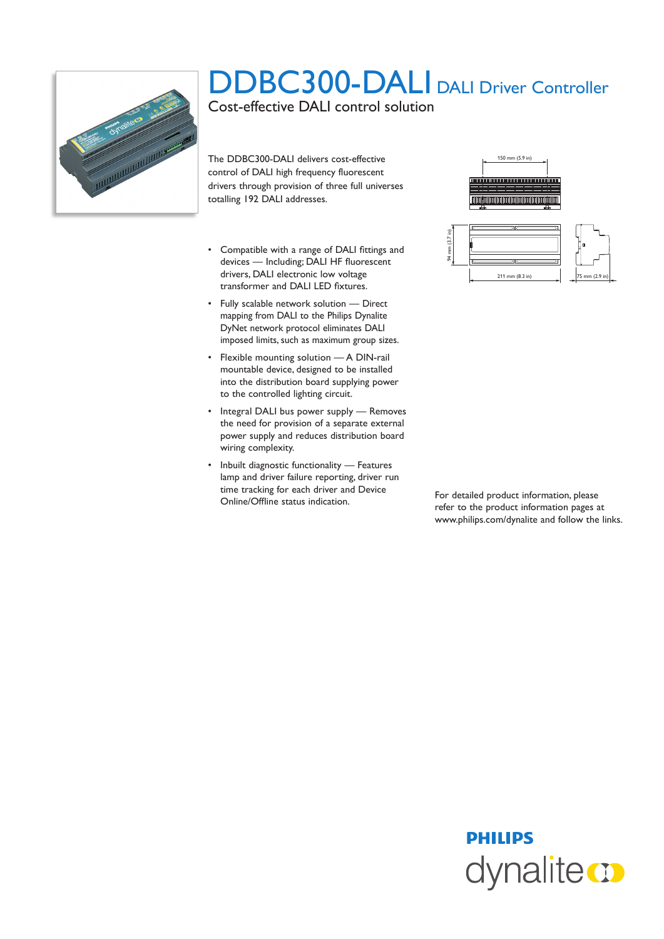

## DDBC300-DALI DALI Driver Controller

Cost-effective DALI control solution

The DDBC300-DALI delivers cost-effective control of DALI high frequency fluorescent drivers through provision of three full universes totalling 192 DALI addresses.

- • Compatible with a range of DALI fittings and devices — Including; DALI HF fluorescent drivers, DALI electronic low voltage transformer and DALI LED fixtures.
- • Fully scalable network solution Direct mapping from DALI to the Philips Dynalite DyNet network protocol eliminates DALI imposed limits, such as maximum group sizes.
- • Flexible mounting solution A DIN-rail mountable device, designed to be installed into the distribution board supplying power to the controlled lighting circuit.
- Integral DALI bus power supply Removes the need for provision of a separate external power supply and reduces distribution board wiring complexity.
- • Inbuilt diagnostic functionality Features lamp and driver failure reporting, driver run time tracking for each driver and Device For detailed product information, please<br>
Online/Offline status indication.





refer to the product information pages at www.philips.com/dynalite and follow the links.